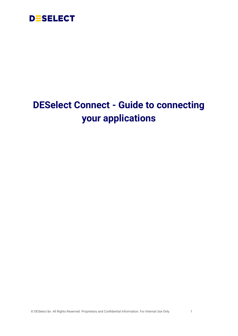

# **DESelect Connect - Guide to connecting your applications**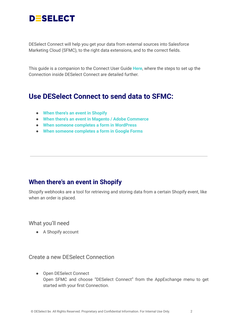

DESelect Connect will help you get your data from external sources into Salesforce Marketing Cloud (SFMC), to the right data extensions, and to the correct fields.

This guide is a companion to the Connect User Guide **[Here](https://docs.google.com/document/u/0/d/1Yo9gF_ywxZ85cKajRW3jd-iYNKkymoJLA6nD1wrXNys/edit)**, where the steps to set up the Connection inside DESelect Connect are detailed further.

# **Use DESelect Connect to send data to SFMC:**

- **When there's an event in [Shopify](#page-1-0)**
- **When there's an event in Magento / Adobe [Commerce](#page-3-0)**
- **When someone completes a form in [WordPress](#page-6-0)**
- **● When someone [completes](#page-9-0) a form in Google Forms**

### <span id="page-1-0"></span>**When there's an event in Shopify**

Shopify webhooks are a tool for retrieving and storing data from a certain Shopify event, like when an order is placed.

What you'll need

● A Shopify account

#### Create a new DESelect Connection

● Open DESelect Connect Open SFMC and choose "DESelect Connect" from the AppExchange menu to get started with your first Connection.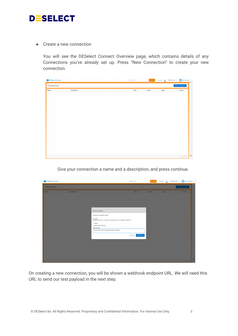

● Create a new connection

You will see the DESelect Connect Overview page, which contains details of any Connections you've already set up. Press "New Connection" to create your new connection.

| DESelect Connect |             | Search Term | Search $\mathbf{Q}$ | Feedback | DESelect Dev $\neq$ | Dom Starkey $\mathbf{\nabla}$    |            |
|------------------|-------------|-------------|---------------------|----------|---------------------|----------------------------------|------------|
| Overview         |             |             |                     |          |                     | New Connection                   |            |
| Name             | Description | Type        | Active              | Logs     |                     | Action                           |            |
|                  |             |             |                     |          |                     |                                  |            |
|                  |             |             |                     |          |                     |                                  |            |
|                  |             |             |                     |          |                     |                                  |            |
|                  |             |             |                     |          |                     |                                  |            |
|                  |             |             |                     |          |                     |                                  |            |
|                  |             |             |                     |          |                     |                                  |            |
|                  |             |             |                     |          |                     |                                  |            |
|                  |             |             |                     |          |                     |                                  |            |
|                  |             |             |                     |          |                     |                                  |            |
|                  |             |             |                     |          |                     |                                  |            |
|                  |             |             |                     |          |                     |                                  |            |
|                  |             |             |                     |          |                     |                                  |            |
|                  |             |             |                     |          |                     | $4$ [ $1$ $4$ ] $\triangleright$ | $\sqrt{2}$ |
|                  |             |             |                     |          |                     |                                  |            |

Give your connection a name and a description, and press continue.

| <b>DESelect Connect</b> |             |                                                                                                                                                                                                                  | Search Term                | Search Q |      | Feedback $\begin{pmatrix} 1 & 1 \\ 0 & 1 \end{pmatrix}$ DESelect Dev w<br>Dom Starkey |  |
|-------------------------|-------------|------------------------------------------------------------------------------------------------------------------------------------------------------------------------------------------------------------------|----------------------------|----------|------|---------------------------------------------------------------------------------------|--|
| Overview                |             |                                                                                                                                                                                                                  |                            |          |      | New Connection                                                                        |  |
| Name                    | Description | New Connection<br>Choose connection type:<br>$\bullet$ Api<br>Read input from a webhook posting to the provided endpoint.<br>* Name<br>Demo Connection<br>Description<br>Some test here to describe this connect | Type<br>Cancel<br>Continue | Active   | Logs | Action                                                                                |  |
|                         |             |                                                                                                                                                                                                                  |                            |          |      | $4 1 0 1$                                                                             |  |

On creating a new connection, you will be shown a webhook endpoint URL. We will need this URL to send our test payload in the next step.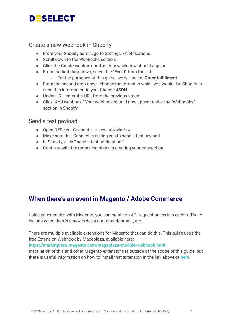# **DESELECT**

#### Create a new Webhook in Shopify

- From your Shopify admin, go to Settings > Notifications.
- Scroll down to the Webhooks section.
- Click the Create webhook button. A new window should appear.
- From the first drop-down, select the "Event" from the list.
	- For the purposes of this guide, we will select **Order fulfillment**
- **●** From the second drop-down, choose the format in which you would like Shopify to send this information to you. Choose **JSON**
- **●** Under URL, enter the URL from the previous stage
- **●** Click "Add webhook." Your webhook should now appear under the "Webhooks" section in Shopify.

#### Send a test payload

- Open DESelect Connect in a new tab/window
- Make sure that Connect is asking you to send a test payload.
- In Shopify, click " send a test notification."
- Continue with the remaining steps in creating your connection.

## <span id="page-3-0"></span>**When there's an event in Magento / Adobe Commerce**

Using an extension with Magento, you can create an API request on certain events. These include when there's a new order, a cart abandonment, etc.

There are multiple available extensions for Magento that can do this. This guide uses the free Extension Webhook by Mageplaza, available here:

**<https://marketplace.magento.com/mageplaza-module-webhook.html>**

Installation of this and other Magento extensions is outside of the scope of this guide, but there is useful information on how to install that extension in the link above or **[here](https://www.mageplaza.com/install-magento-2-extension/)**.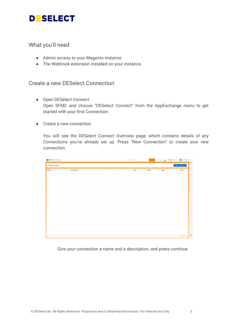

#### What you'll need

- Admin access to your Magento instance
- The Webhook extension installed on your instance.

#### Create a new DESelect Connection

- Open DESelect Connect Open SFMC and choose "DESelect Connect" from the AppExchange menu to get started with your first Connection.
- Create a new connection

You will see the DESelect Connect Overview page, which contains details of any Connections you've already set up. Press "New Connection" to create your new connection.

| <b>DESelect Connect</b> |             | Search Term | Search Q | Feedback | Dom Starkey<br>DESelect Dev $\neq$ |
|-------------------------|-------------|-------------|----------|----------|------------------------------------|
| Overview                |             |             |          |          | <b>New Connection</b>              |
| Name                    | Description | Type        | Active   | Logs     | Action                             |
|                         |             |             |          |          |                                    |
|                         |             |             |          |          |                                    |
|                         |             |             |          |          |                                    |
|                         |             |             |          |          |                                    |
|                         |             |             |          |          |                                    |
|                         |             |             |          |          |                                    |
|                         |             |             |          |          |                                    |
|                         |             |             |          |          |                                    |
|                         |             |             |          |          |                                    |
|                         |             |             |          |          |                                    |
|                         |             |             |          |          |                                    |
|                         |             |             |          |          |                                    |
|                         |             |             |          |          |                                    |
|                         |             |             |          |          | $\sqrt{2}$<br>$4$ [1 $\pm$ ] $\pm$ |

Give your connection a name and a description, and press continue.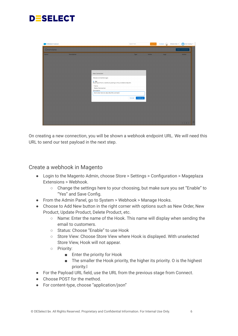

| DESelect Connect |                    |                                                                                                                                                                                                                  | Search Term                | Search Q | Feedback | Dom Starkey<br>DESelect Dev = |
|------------------|--------------------|------------------------------------------------------------------------------------------------------------------------------------------------------------------------------------------------------------------|----------------------------|----------|----------|-------------------------------|
| Overview         |                    |                                                                                                                                                                                                                  |                            |          |          | New Connection                |
| Name             | <b>Description</b> | New Connection<br>Choose connection type:<br>$\bullet$ Api<br>Read input from a webhook posting to the provided endpoint.<br>* Name<br>Demo Connection<br>Description<br>Some test here to describe this connect | Type<br>Cancel<br>Continue | Active   | Logs     | Action                        |
|                  |                    |                                                                                                                                                                                                                  |                            |          |          |                               |
|                  |                    |                                                                                                                                                                                                                  |                            |          |          | $\overline{2}$<br>4 1 1       |

On creating a new connection, you will be shown a webhook endpoint URL. We will need this URL to send our test payload in the next step.

#### Create a webhook in Magento

- Login to the Magento Admin, choose Store > Settings > Configuration > Mageplaza Extensions > Webhook.
	- Change the settings here to your choosing, but make sure you set "Enable" to "Yes" and Save Config.
- From the Admin Panel, go to System > Webhook > Manage Hooks.
- Choose to Add New button in the right corner with options such as New Order, New Product, Update Product, Delete Product, etc.
	- $\circ$  Name: Enter the name of the Hook. This name will display when sending the email to customers.
	- Status: Choose "Enable" to use Hook
	- Store View: Choose Store View where Hook is displayed. With unselected Store View, Hook will not appear.
	- Priority:
		- Enter the priority for Hook
		- The smaller the Hook priority, the higher its priority. O is the highest priority.l
- For the Payload URL field, use the URL from the previous stage from Connect.
- Choose POST for the method.
- For content-type, choose "application/json"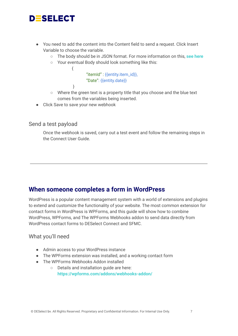

- You need to add the content into the Content field to send a request. Click Insert Variable to choose the variable.
	- The body should be in JSON format. For more information on this, **see [here](https://www.w3schools.com/js/js_json_intro.asp)**
	- Your eventual Body should look something like this:

"itemId" : {{entity.item\_id}}, "Date": {{entity.date}}

- Where the green text is a property title that you choose and the blue text comes from the variables being inserted.
- Click Save to save your new webhook

{

}

#### Send a test payload

Once the webhook is saved, carry out a test event and follow the remaining steps in the Connect User Guide.

#### <span id="page-6-0"></span>**When someone completes a form in WordPress**

WordPress is a popular content management system with a world of extensions and plugins to extend and customize the functionality of your website. The most common extension for contact forms in WordPress is WPForms, and this guide will show how to combine WordPress, WPForms, and The WPForms Webhooks addon to send data directly from WordPress contact forms to DESelect Connect and SFMC.

#### What you'll need

- Admin access to your WordPress instance
- The WPForms extension was installed, and a working contact form
- The WPForms Webhooks Addon installed
	- Details and installation guide are here: **https://wpforms.com/addons/webhooks-addon/**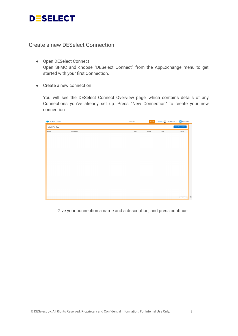

Create a new DESelect Connection

- Open DESelect Connect Open SFMC and choose "DESelect Connect" from the AppExchange menu to get started with your first Connection.
- Create a new connection

You will see the DESelect Connect Overview page, which contains details of any Connections you've already set up. Press "New Connection" to create your new connection.



Give your connection a name and a description, and press continue.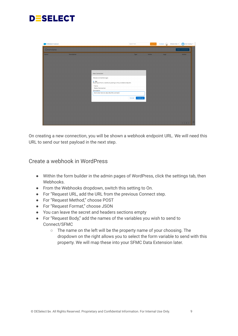

| DESelect Connect |             |                                                                                                                                                                                                                  | Search Term                | Search Q | Feedback ( | Dom Starkey w<br>DESelect Dev = |
|------------------|-------------|------------------------------------------------------------------------------------------------------------------------------------------------------------------------------------------------------------------|----------------------------|----------|------------|---------------------------------|
| Overview         |             |                                                                                                                                                                                                                  |                            |          |            | New Connection                  |
| Name             | Description | New Connection<br>Choose connection type:<br>$\bullet$ Api<br>Read input from a webhook posting to the provided endpoint.<br>* Name<br>Demo Connection<br>Description<br>Some test here to describe this connect | Type<br>Cancel<br>Continue | Active   | Logs       | Action                          |
|                  |             |                                                                                                                                                                                                                  |                            |          |            |                                 |
|                  |             |                                                                                                                                                                                                                  |                            |          |            | $\overline{2}$<br>4 1 1         |

On creating a new connection, you will be shown a webhook endpoint URL. We will need this URL to send our test payload in the next step.

#### Create a webhook in WordPress

- Within the form builder in the admin pages of WordPress, click the settings tab, then Webhooks.
- From the Webhooks dropdown, switch this setting to On.
- For "Request URL, add the URL from the previous Connect step.
- For "Request Method," choose POST
- For "Request Format," choose JSON
- You can leave the secret and headers sections empty
- For "Request Body," add the names of the variables you wish to send to Connect/SFMC
	- The name on the left will be the property name of your choosing. The dropdown on the right allows you to select the form variable to send with this property. We will map these into your SFMC Data Extension later.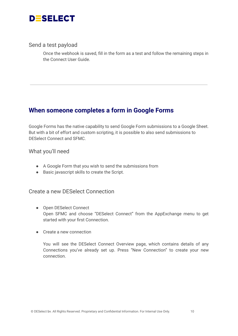

#### Send a test payload

Once the webhook is saved, fill in the form as a test and follow the remaining steps in the Connect User Guide.

### <span id="page-9-0"></span>**When someone completes a form in Google Forms**

Google Forms has the native capability to send Google Form submissions to a Google Sheet. But with a bit of effort and custom scripting, it is possible to also send submissions to DESelect Connect and SFMC.

What you'll need

- A Google Form that you wish to send the submissions from
- Basic javascript skills to create the Script.

Create a new DESelect Connection

- Open DESelect Connect Open SFMC and choose "DESelect Connect" from the AppExchange menu to get started with your first Connection.
- Create a new connection

You will see the DESelect Connect Overview page, which contains details of any Connections you've already set up. Press "New Connection" to create your new connection.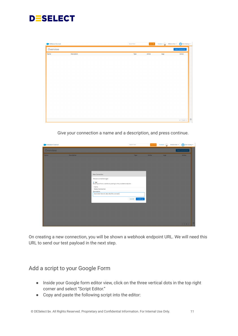

| <b>DESelect Connect</b> |             | Search Term | Search $\mathbf{Q}^{\top}$ | Feedback $\begin{array}{ c c c }\hline \dots \end{array}$ | Dom Starkey $\mathbf w$<br>DESelect Dev $\neq$               |
|-------------------------|-------------|-------------|----------------------------|-----------------------------------------------------------|--------------------------------------------------------------|
| Overview                |             |             |                            |                                                           | New Connection                                               |
| Name                    | Description | Type        | Active                     | Logs                                                      | Action                                                       |
|                         |             |             |                            |                                                           |                                                              |
|                         |             |             |                            |                                                           |                                                              |
|                         |             |             |                            |                                                           |                                                              |
|                         |             |             |                            |                                                           |                                                              |
|                         |             |             |                            |                                                           |                                                              |
|                         |             |             |                            |                                                           |                                                              |
|                         |             |             |                            |                                                           |                                                              |
|                         |             |             |                            |                                                           |                                                              |
|                         |             |             |                            |                                                           |                                                              |
|                         |             |             |                            |                                                           |                                                              |
|                         |             |             |                            |                                                           |                                                              |
|                         |             |             |                            |                                                           |                                                              |
|                         |             |             |                            |                                                           | $\overline{\mathcal{E}}$<br>$4$ 1 $\bullet$ $\triangleright$ |

Give your connection a name and a description, and press continue.

| DESelect Connect |                    |                                                                                                                                                                                                        | Search Term                | Search Q | Feedback $\alpha$ | DESelect Dev $\neq$ | Dom Starkey             |
|------------------|--------------------|--------------------------------------------------------------------------------------------------------------------------------------------------------------------------------------------------------|----------------------------|----------|-------------------|---------------------|-------------------------|
| Overview         |                    |                                                                                                                                                                                                        |                            |          |                   |                     | New Connection          |
| Name             | <b>Description</b> | New Connection<br>Choose connection type:<br>Api<br>Read input from a webhook posting to the provided endpoint.<br>* Name<br>Demo Connection<br>Description<br>Some test here to describe this connect | Type<br>Continue<br>Cancel | Active   | Logs              |                     | <b>Action</b>           |
|                  |                    |                                                                                                                                                                                                        |                            |          |                   |                     |                         |
|                  |                    |                                                                                                                                                                                                        |                            |          |                   |                     | $\overline{2}$<br>4 1 1 |

On creating a new connection, you will be shown a webhook endpoint URL. We will need this URL to send our test payload in the next step.

#### Add a script to your Google Form

- Inside your Google form editor view, click on the three vertical dots in the top right corner and select "Script Editor."
- Copy and paste the following script into the editor: